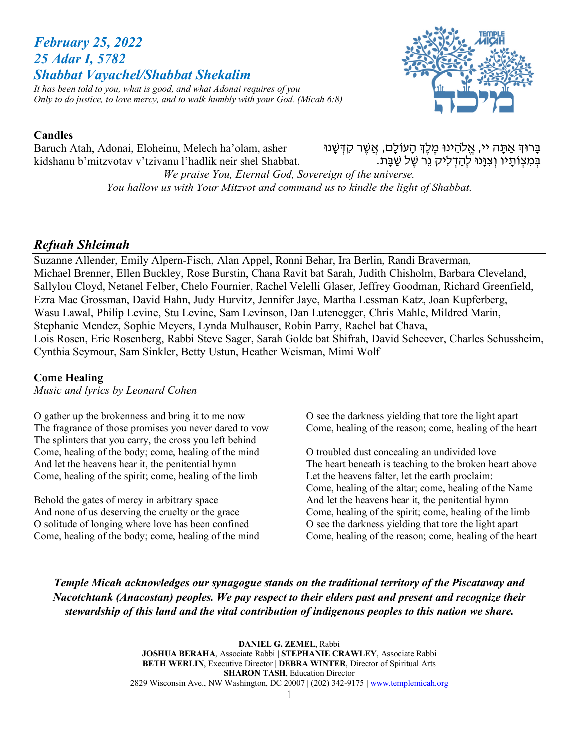# *February 25, 2022 25 Adar I, 5782 Shabbat Vayachel/Shabbat Shekalim*



*It has been told to you, what is good, and what Adonai requires of you Only to do justice, to love mercy, and to walk humbly with your God. (Micah 6:8)*

## **Candles**

Baruch Atah, Adonai, Eloheinu, Melech ha'olam, asher kidshanu b'mitzvotav v'tzivanu l'hadlik neir shel Shabbat. בָּרוּדְ אַתָּה יי, אֱלֹהֵינוּ מֶלֶדְ הָעוֹלָם, אֲשֶׁר קִדְּשָׁנוּ<br>בִּמְצִוֹתֵיו וִצְוַּנוּ לִהַדְלִיק נֶר שֶׁל שַׁבַּת.

*We praise You, Eternal God, Sovereign of the universe. You hallow us with Your Mitzvot and command us to kindle the light of Shabbat.*

## *Refuah Shleimah*

Suzanne Allender, Emily Alpern-Fisch, Alan Appel, Ronni Behar, Ira Berlin, Randi Braverman, Michael Brenner, Ellen Buckley, Rose Burstin, Chana Ravit bat Sarah, Judith Chisholm, Barbara Cleveland, Sallylou Cloyd, Netanel Felber, Chelo Fournier, Rachel Velelli Glaser, Jeffrey Goodman, Richard Greenfield, Ezra Mac Grossman, David Hahn, Judy Hurvitz, Jennifer Jaye, Martha Lessman Katz, Joan Kupferberg, Wasu Lawal, Philip Levine, Stu Levine, Sam Levinson, Dan Lutenegger, Chris Mahle, Mildred Marin, Stephanie Mendez, Sophie Meyers, Lynda Mulhauser, Robin Parry, Rachel bat Chava, Lois Rosen, Eric Rosenberg, Rabbi Steve Sager, Sarah Golde bat Shifrah, David Scheever, Charles Schussheim, Cynthia Seymour, Sam Sinkler, Betty Ustun, Heather Weisman, Mimi Wolf

#### **Come Healing**

*Music and lyrics by Leonard Cohen*

O gather up the brokenness and bring it to me now The fragrance of those promises you never dared to vow The splinters that you carry, the cross you left behind Come, healing of the body; come, healing of the mind And let the heavens hear it, the penitential hymn Come, healing of the spirit; come, healing of the limb

Behold the gates of mercy in arbitrary space And none of us deserving the cruelty or the grace O solitude of longing where love has been confined Come, healing of the body; come, healing of the mind O see the darkness yielding that tore the light apart Come, healing of the reason; come, healing of the heart

O troubled dust concealing an undivided love The heart beneath is teaching to the broken heart above Let the heavens falter, let the earth proclaim: Come, healing of the altar; come, healing of the Name And let the heavens hear it, the penitential hymn Come, healing of the spirit; come, healing of the limb O see the darkness yielding that tore the light apart Come, healing of the reason; come, healing of the heart

*Temple Micah acknowledges our synagogue stands on the traditional territory of the Piscataway and Nacotchtank (Anacostan) peoples. We pay respect to their elders past and present and recognize their stewardship of this land and the vital contribution of indigenous peoples to this nation we share.*

> **DANIEL G. ZEMEL**, Rabbi **JOSHUA BERAHA**, Associate Rabbi **| STEPHANIE CRAWLEY**, Associate Rabbi **BETH WERLIN**, Executive Director | **DEBRA WINTER**, Director of Spiritual Arts **SHARON TASH**, Education Director 2829 Wisconsin Ave., NW Washington, DC 20007 **|** (202) 342-9175 **|** www.templemicah.org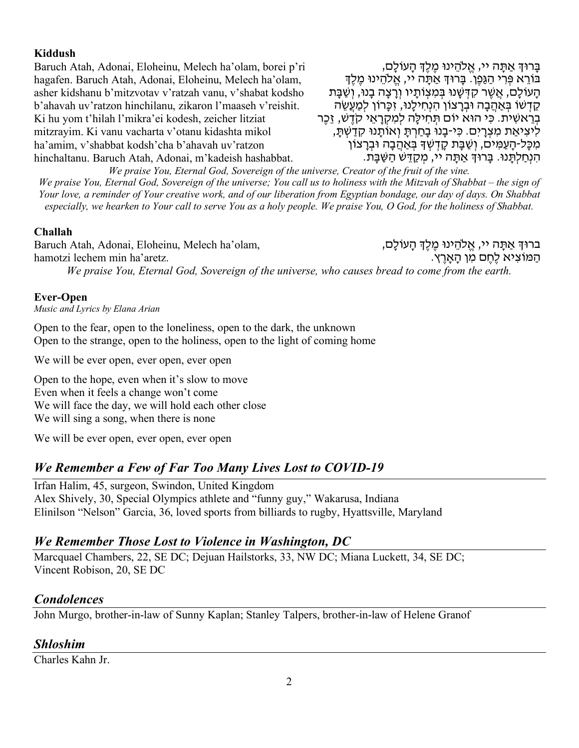#### **Kiddush**

Baruch Atah, Adonai, Eloheinu, Melech ha'olam, borei p'ri hagafen. Baruch Atah, Adonai, Eloheinu, Melech ha'olam, asher kidshanu b'mitzvotav v'ratzah vanu, v'shabat kodsho b'ahavah uv'ratzon hinchilanu, zikaron l'maaseh v'reishit. Ki hu yom t'hilah l'mikra'ei kodesh, zeicher litziat mitzrayim. Ki vanu vacharta v'otanu kidashta mikol ha'amim, v'shabbat kodsh'cha b'ahavah uv'ratzon hinchaltanu. Baruch Atah, Adonai, m'kadeish hashabbat.

ֶבָּרוּדְּ אַתָּה יי, אֱלֹהֵינוּ מֵלֵדְּ הָעוֹלָם, ָבּוֹרֵא פְּרִי הַגַּפֵן. בַּרוּדְּ אַתַּה יי, אֱלֹהֶינוּ מֶלֶדְ ְהַעוֹלֵם, אֲשֶׁר קִדְּשָׁנוּ בִּמְצְוֹתַיו וְרַצָה בָנוּ, וְשַׁבֶַּת ְקַדְשׁוֹ בַּאֲהָבָה וּבְרָצוֹן הָנְחִילָנוּ, זִכְּרוֹן לִמְעֵׁשָׂה בְּרֵאשִׁית. כִּי הוּא יוֹם תְּחִילָה לְמִקְרָאֵי קֹדֶשׁ, זֵכֶר<br>לִיצִיאַת מִצְרַיִם. כִּי-בַנוּ בַחַרְתֵּ וְאוֹתֵנוּ קַדֲשָׁתֵּ, מִכָּל-הָעַמִּים, וְשַׁבָּת קָדְשְׁךָּ בְּאַהֲבָה וּבְרָצוֹן<br>הִנְחַלִתֵּנוּ. בַּרוּךְּ אַתֵּה יי, מִקַדֵּשׁ הַשָּׁבַּת.

*We praise You, Eternal God, Sovereign of the universe, Creator of the fruit of the vine. We praise You, Eternal God, Sovereign of the universe; You call us to holiness with the Mitzvah of Shabbat – the sign of Your love, a reminder of Your creative work, and of our liberation from Egyptian bondage, our day of days. On Shabbat especially, we hearken to Your call to serve You as a holy people. We praise You, O God, for the holiness of Shabbat.*

## **Challah**

Baruch Atah, Adonai, Eloheinu, Melech ha'olam, hamotzi lechem min ha'aretz.

ברוּדְּ אַתָּה יי, אֱלֹהֵינוּ מֶלֶדְּ הָעוֹלָם,<br>הַמּוֹצִיא לֶחֵם מִן הַאֲרֵץ.

*We praise You, Eternal God, Sovereign of the universe, who causes bread to come from the earth.*

## **Ever-Open**

*Music and Lyrics by Elana Arian* 

Open to the fear, open to the loneliness, open to the dark, the unknown Open to the strange, open to the holiness, open to the light of coming home

We will be ever open, ever open, ever open

Open to the hope, even when it's slow to move Even when it feels a change won't come We will face the day, we will hold each other close We will sing a song, when there is none

We will be ever open, ever open, ever open

## *We Remember a Few of Far Too Many Lives Lost to COVID-19*

Irfan Halim, 45, surgeon, Swindon, United Kingdom Alex Shively, 30, Special Olympics athlete and "funny guy," Wakarusa, Indiana Elinilson "Nelson" Garcia, 36, loved sports from billiards to rugby, Hyattsville, Maryland

## *We Remember Those Lost to Violence in Washington, DC*

Marcquael Chambers, 22, SE DC; Dejuan Hailstorks, 33, NW DC; Miana Luckett, 34, SE DC; Vincent Robison, 20, SE DC

## *Condolences*

John Murgo, brother-in-law of Sunny Kaplan; Stanley Talpers, brother-in-law of Helene Granof

## *Shloshim*

Charles Kahn Jr.